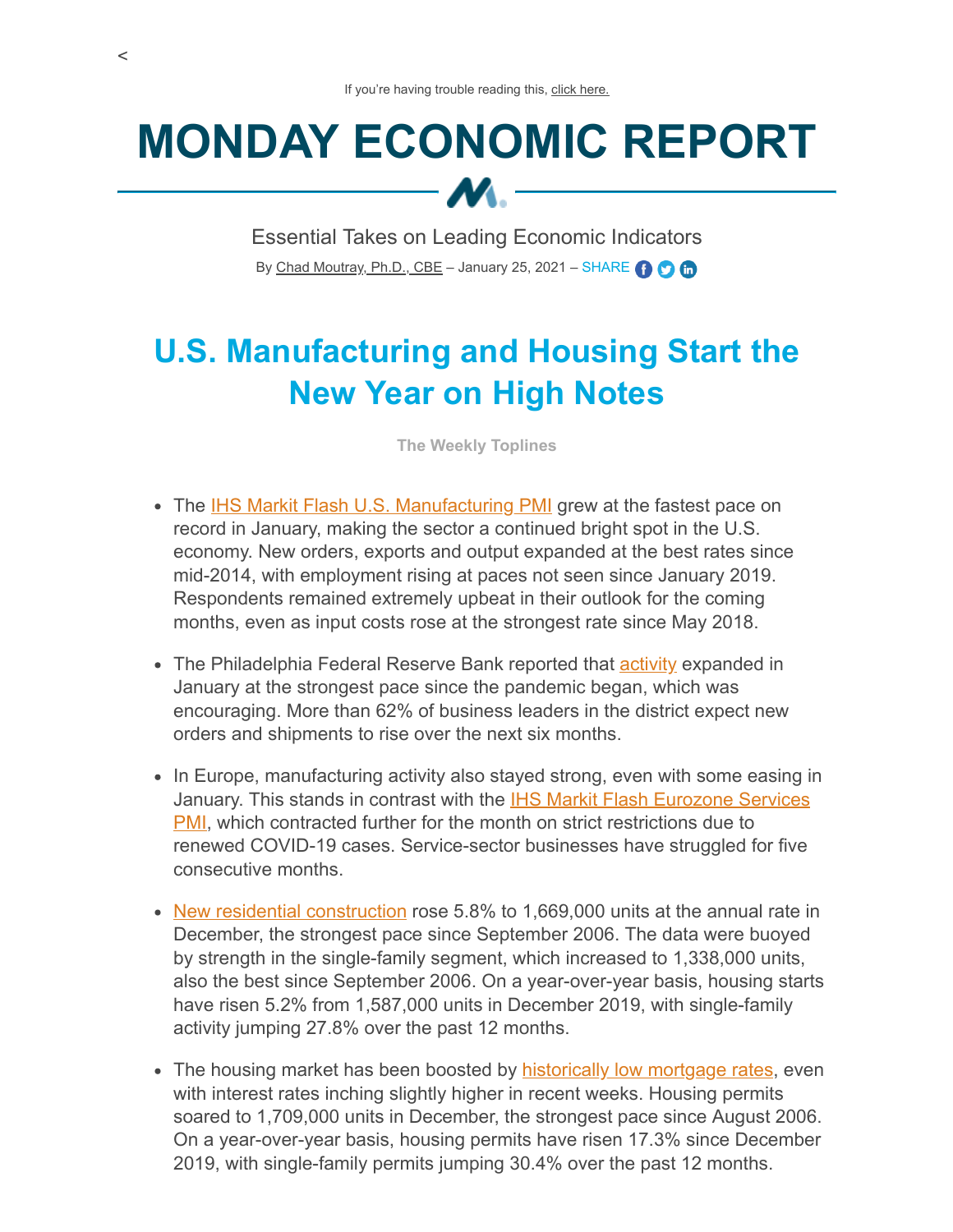## **MONDAY ECONOMIC REPORT**  $M -$

Essential Takes on Leading Economic Indicators By [Chad Moutray, Ph.D., CBE](mailto:cmoutray@nam.org) – January 25, 2021 – SHARE  $\bigodot$   $\bigodot$ 

## **U.S. Manufacturing and Housing Start the New Year on High Notes**

**The Weekly Toplines**

- The [IHS Markit Flash U.S. Manufacturing PMI](https://www.markiteconomics.com/Public/Home/PressRelease/8112980330a9491c954c4ee22b2db430) grew at the fastest pace on record in January, making the sector a continued bright spot in the U.S. economy. New orders, exports and output expanded at the best rates since mid-2014, with employment rising at paces not seen since January 2019. Respondents remained extremely upbeat in their outlook for the coming months, even as input costs rose at the strongest rate since May 2018.
- The Philadelphia Federal Reserve Bank reported that **activity expanded in** January at the strongest pace since the pandemic began, which was encouraging. More than 62% of business leaders in the district expect new orders and shipments to rise over the next six months.
- In Europe, manufacturing activity also stayed strong, even with some easing in January. This stands in contrast with the **IHS Markit Flash Eurozone Services PMI**, which contracted further for the month on strict restrictions due to renewed COVID-19 cases. Service-sector businesses have struggled for five consecutive months.
- [New residential construction](https://www.census.gov/construction/nrc/pdf/newresconst.pdf) rose 5.8% to 1,669,000 units at the annual rate in December, the strongest pace since September 2006. The data were buoyed by strength in the single-family segment, which increased to 1,338,000 units, also the best since September 2006. On a year-over-year basis, housing starts have risen 5.2% from 1,587,000 units in December 2019, with single-family activity jumping 27.8% over the past 12 months.
- The housing market has been boosted by [historically low mortgage rates](http://www.freddiemac.com/pmms/), even with interest rates inching slightly higher in recent weeks. Housing permits soared to 1,709,000 units in December, the strongest pace since August 2006. On a year-over-year basis, housing permits have risen 17.3% since December 2019, with single-family permits jumping 30.4% over the past 12 months.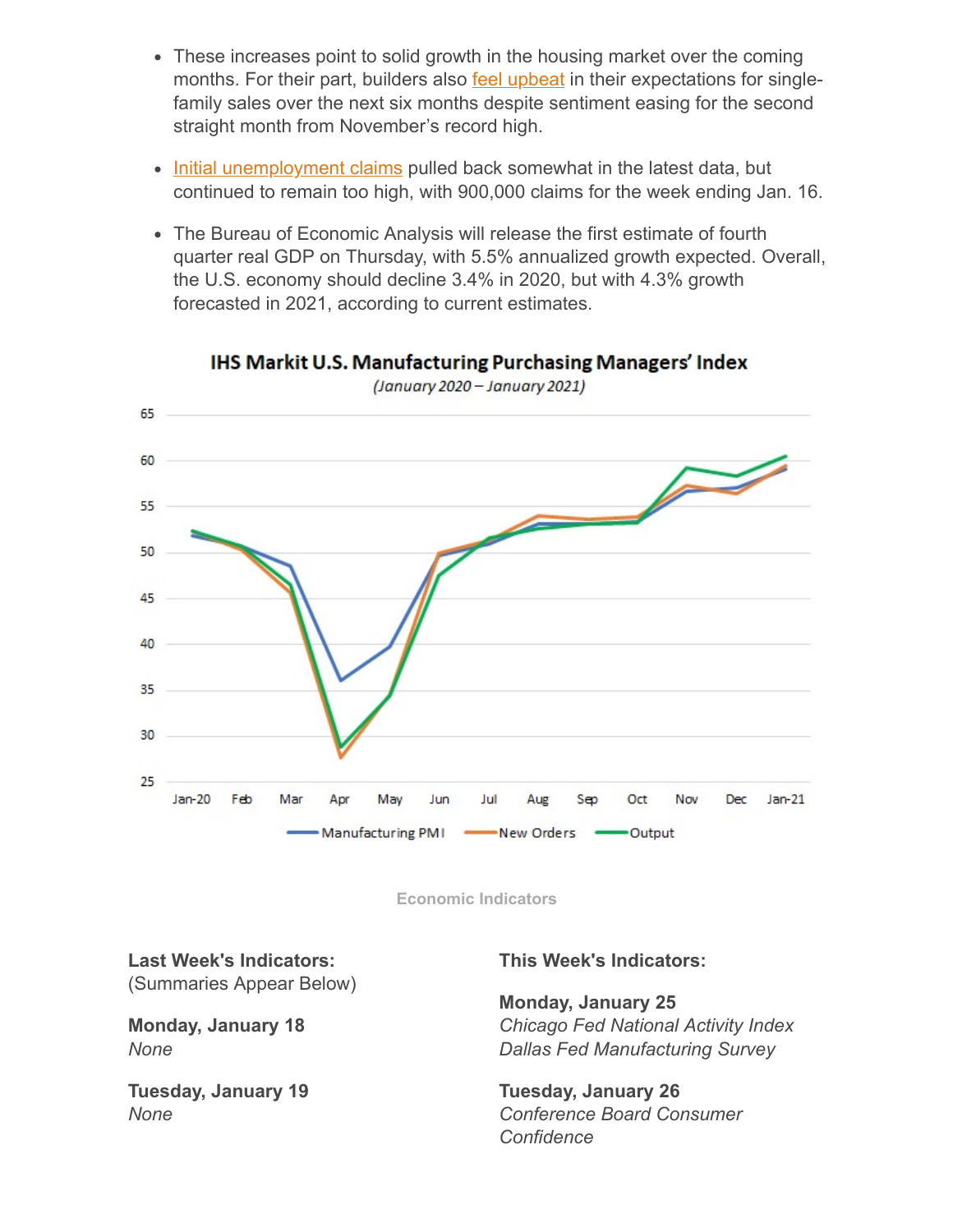- These increases point to solid growth in the housing market over the coming months. For their part, builders also **feel upbeat** in their expectations for singlefamily sales over the next six months despite sentiment easing for the second straight month from November's record high.
- [Initial unemployment claims](https://www.dol.gov/ui/data.pdf) pulled back somewhat in the latest data, but continued to remain too high, with 900,000 claims for the week ending Jan. 16.
- The Bureau of Economic Analysis will release the first estimate of fourth quarter real GDP on Thursday, with 5.5% annualized growth expected. Overall, the U.S. economy should decline 3.4% in 2020, but with 4.3% growth forecasted in 2021, according to current estimates.



**IHS Markit U.S. Manufacturing Purchasing Managers' Index** 

**Economic Indicators**

**Last Week's Indicators:** (Summaries Appear Below)

**Monday, January 18** *None*

**Tuesday, January 19** *None*

## **This Week's Indicators:**

**Monday, January 25** *Chicago Fed National Activity Index Dallas Fed Manufacturing Survey*

**Tuesday, January 26** *Conference Board Consumer Confidence*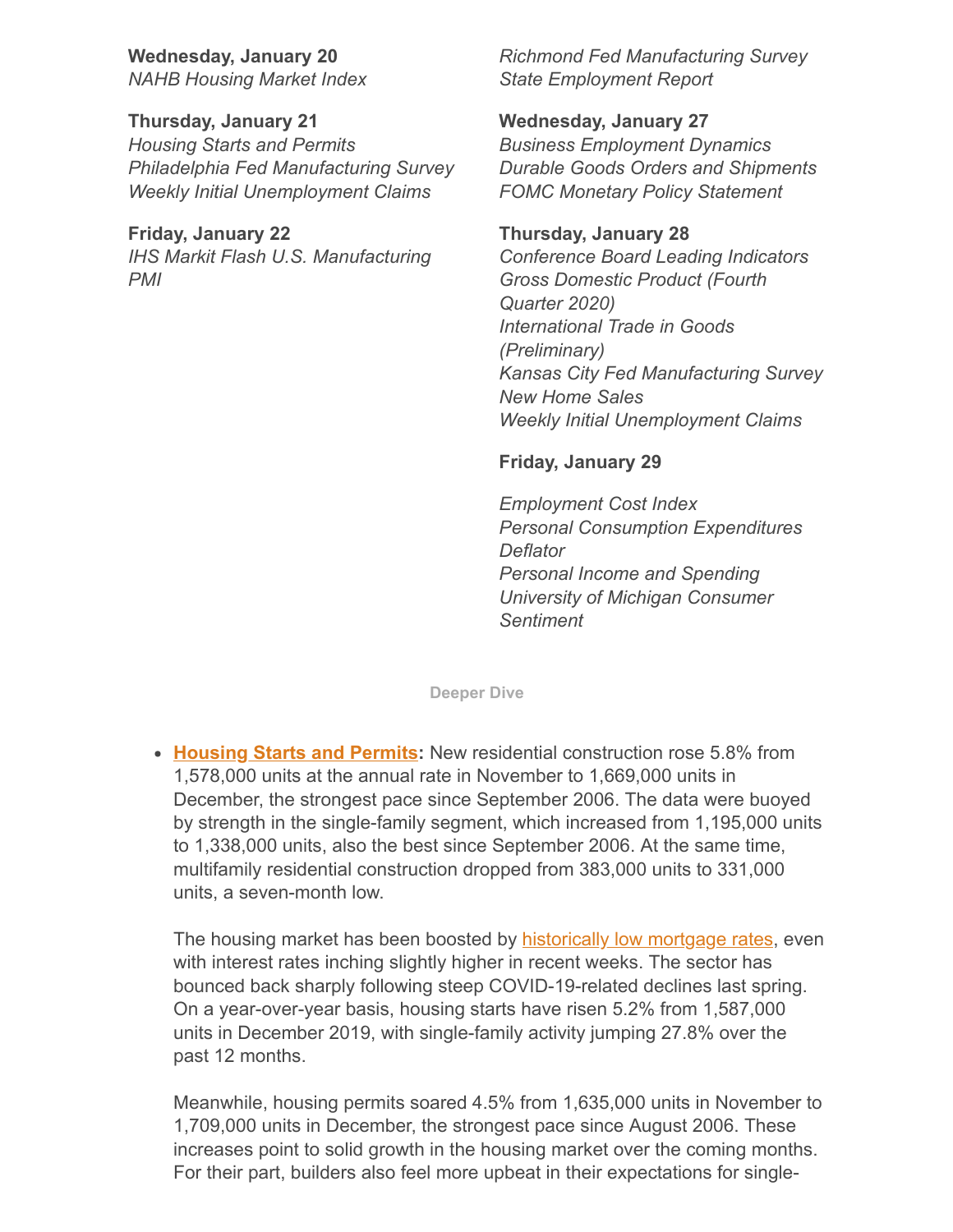**Wednesday, January 20** *NAHB Housing Market Index*

**Thursday, January 21** *Housing Starts and Permits Philadelphia Fed Manufacturing Survey Weekly Initial Unemployment Claims*

**Friday, January 22** *IHS Markit Flash U.S. Manufacturing PMI*

*Richmond Fed Manufacturing Survey State Employment Report*

**Wednesday, January 27** *Business Employment Dynamics Durable Goods Orders and Shipments FOMC Monetary Policy Statement*

**Thursday, January 28** *Conference Board Leading Indicators Gross Domestic Product (Fourth Quarter 2020) International Trade in Goods (Preliminary) Kansas City Fed Manufacturing Survey New Home Sales Weekly Initial Unemployment Claims*

## **Friday, January 29**

*Employment Cost Index Personal Consumption Expenditures Deflator Personal Income and Spending University of Michigan Consumer Sentiment*

**Deeper Dive**

• [Housing Starts and Permits:](https://www.census.gov/construction/nrc/pdf/newresconst.pdf) New residential construction rose 5.8% from 1,578,000 units at the annual rate in November to 1,669,000 units in December, the strongest pace since September 2006. The data were buoyed by strength in the single-family segment, which increased from 1,195,000 units to 1,338,000 units, also the best since September 2006. At the same time, multifamily residential construction dropped from 383,000 units to 331,000 units, a seven-month low.

The housing market has been boosted by [historically low mortgage rates](http://www.freddiemac.com/pmms/), even with interest rates inching slightly higher in recent weeks. The sector has bounced back sharply following steep COVID-19-related declines last spring. On a year-over-year basis, housing starts have risen 5.2% from 1,587,000 units in December 2019, with single-family activity jumping 27.8% over the past 12 months.

Meanwhile, housing permits soared 4.5% from 1,635,000 units in November to 1,709,000 units in December, the strongest pace since August 2006. These increases point to solid growth in the housing market over the coming months. For their part, builders also feel more upbeat in their expectations for single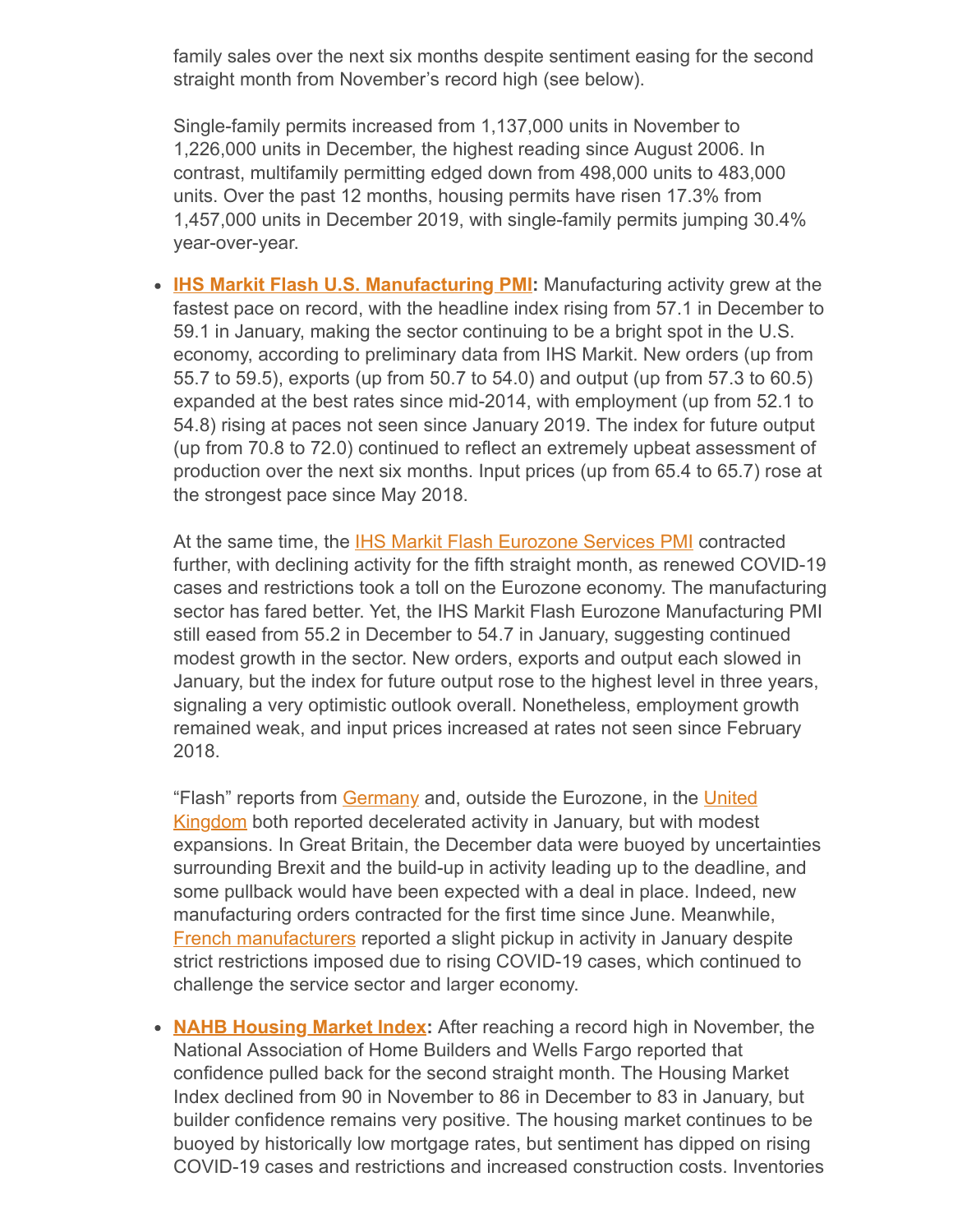family sales over the next six months despite sentiment easing for the second straight month from November's record high (see below).

Single-family permits increased from 1,137,000 units in November to 1,226,000 units in December, the highest reading since August 2006. In contrast, multifamily permitting edged down from 498,000 units to 483,000 units. Over the past 12 months, housing permits have risen 17.3% from 1,457,000 units in December 2019, with single-family permits jumping 30.4% year-over-year.

**[IHS Markit Flash U.S. Manufacturing PMI:](https://www.markiteconomics.com/Public/Home/PressRelease/8112980330a9491c954c4ee22b2db430)** Manufacturing activity grew at the fastest pace on record, with the headline index rising from 57.1 in December to 59.1 in January, making the sector continuing to be a bright spot in the U.S. economy, according to preliminary data from IHS Markit. New orders (up from 55.7 to 59.5), exports (up from 50.7 to 54.0) and output (up from 57.3 to 60.5) expanded at the best rates since mid-2014, with employment (up from 52.1 to 54.8) rising at paces not seen since January 2019. The index for future output (up from 70.8 to 72.0) continued to reflect an extremely upbeat assessment of production over the next six months. Input prices (up from 65.4 to 65.7) rose at the strongest pace since May 2018.

At the same time, the [IHS Markit Flash Eurozone Services PMI](https://www.markiteconomics.com/Public/Home/PressRelease/2845534afc634251aaaf93f3acfd1a7e) contracted further, with declining activity for the fifth straight month, as renewed COVID-19 cases and restrictions took a toll on the Eurozone economy. The manufacturing sector has fared better. Yet, the IHS Markit Flash Eurozone Manufacturing PMI still eased from 55.2 in December to 54.7 in January, suggesting continued modest growth in the sector. New orders, exports and output each slowed in January, but the index for future output rose to the highest level in three years, signaling a very optimistic outlook overall. Nonetheless, employment growth remained weak, and input prices increased at rates not seen since February 2018.

["Flash" reports from Germany and, outside the Eurozone, in the United](https://www.markiteconomics.com/Public/Home/PressRelease/d087a38a6ed845f6b4cf73967c960cbf) Kingdom both reported decelerated activity in January, but with modest expansions. In Great Britain, the December data were buoyed by uncertainties surrounding Brexit and the build-up in activity leading up to the deadline, and some pullback would have been expected with a deal in place. Indeed, new manufacturing orders contracted for the first time since June. Meanwhile, [French manufacturers](https://www.markiteconomics.com/Public/Home/PressRelease/e3102728b0be4f0db928cfe23f7d7501) reported a slight pickup in activity in January despite strict restrictions imposed due to rising COVID-19 cases, which continued to challenge the service sector and larger economy.

**[NAHB Housing Market Index](http://eyeonhousing.org/2021/01/builder-confidence-down-on-rising-material-prices-upsurge-in-covid-19-cases/):** After reaching a record high in November, the National Association of Home Builders and Wells Fargo reported that confidence pulled back for the second straight month. The Housing Market Index declined from 90 in November to 86 in December to 83 in January, but builder confidence remains very positive. The housing market continues to be buoyed by historically low mortgage rates, but sentiment has dipped on rising COVID-19 cases and restrictions and increased construction costs. Inventories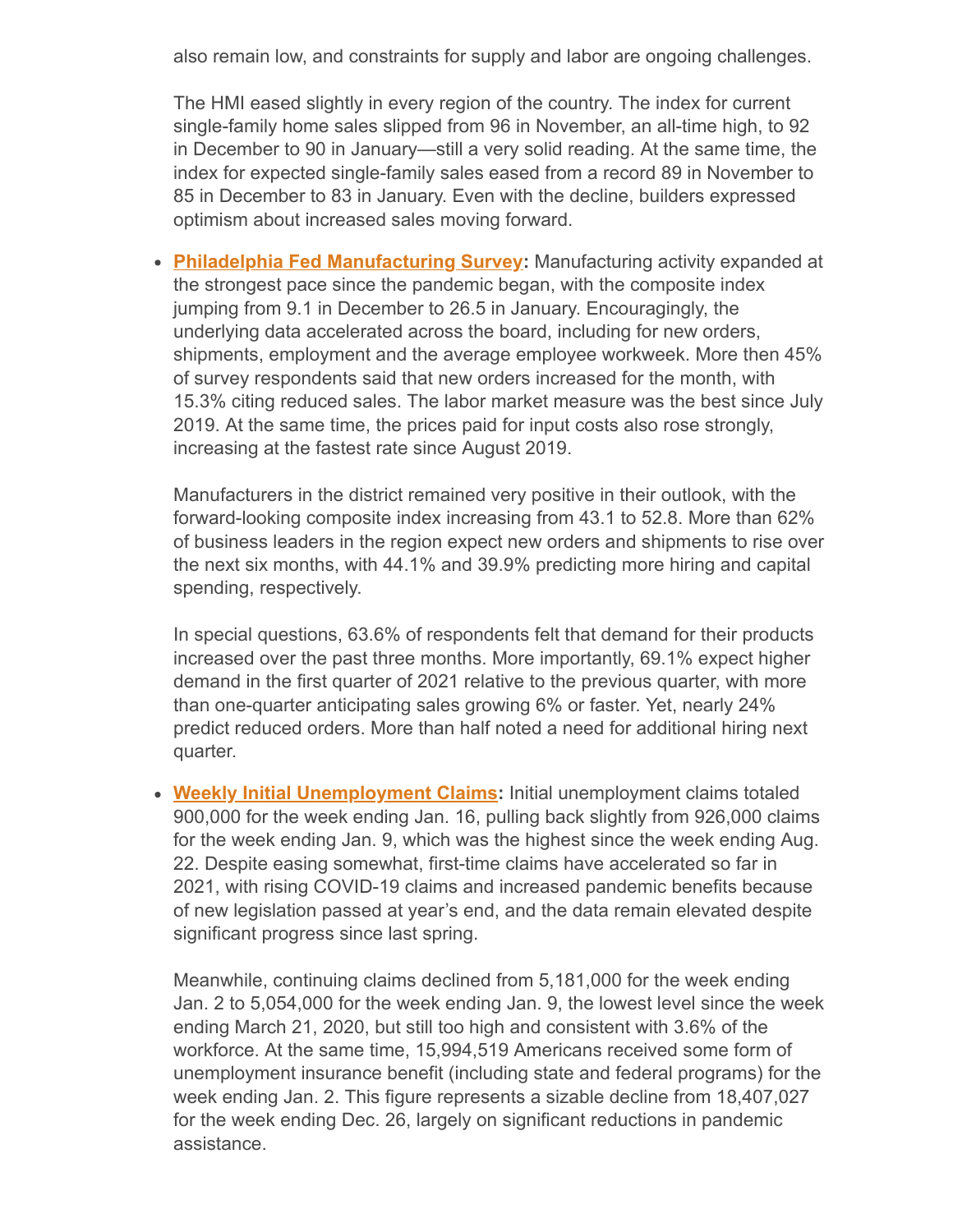also remain low, and constraints for supply and labor are ongoing challenges.

The HMI eased slightly in every region of the country. The index for current single-family home sales slipped from 96 in November, an all-time high, to 92 in December to 90 in January—still a very solid reading. At the same time, the index for expected single-family sales eased from a record 89 in November to 85 in December to 83 in January. Even with the decline, builders expressed optimism about increased sales moving forward.

**[Philadelphia Fed Manufacturing Survey:](https://www.philadelphiafed.org/-/media/frbp/assets/surveys-and-data/mbos/2021/bos0121.pdf?la=en&hash=958F5BBAA54F3F532077537A21A10AAD)** Manufacturing activity expanded at the strongest pace since the pandemic began, with the composite index jumping from 9.1 in December to 26.5 in January. Encouragingly, the underlying data accelerated across the board, including for new orders, shipments, employment and the average employee workweek. More then 45% of survey respondents said that new orders increased for the month, with 15.3% citing reduced sales. The labor market measure was the best since July 2019. At the same time, the prices paid for input costs also rose strongly, increasing at the fastest rate since August 2019.

Manufacturers in the district remained very positive in their outlook, with the forward-looking composite index increasing from 43.1 to 52.8. More than 62% of business leaders in the region expect new orders and shipments to rise over the next six months, with 44.1% and 39.9% predicting more hiring and capital spending, respectively.

In special questions, 63.6% of respondents felt that demand for their products increased over the past three months. More importantly, 69.1% expect higher demand in the first quarter of 2021 relative to the previous quarter, with more than one-quarter anticipating sales growing 6% or faster. Yet, nearly 24% predict reduced orders. More than half noted a need for additional hiring next quarter.

**[Weekly Initial Unemployment Claims](https://www.dol.gov/ui/data.pdf):** Initial unemployment claims totaled 900,000 for the week ending Jan. 16, pulling back slightly from 926,000 claims for the week ending Jan. 9, which was the highest since the week ending Aug. 22. Despite easing somewhat, first-time claims have accelerated so far in 2021, with rising COVID-19 claims and increased pandemic benefits because of new legislation passed at year's end, and the data remain elevated despite significant progress since last spring.

Meanwhile, continuing claims declined from 5,181,000 for the week ending Jan. 2 to 5,054,000 for the week ending Jan. 9, the lowest level since the week ending March 21, 2020, but still too high and consistent with 3.6% of the workforce. At the same time, 15,994,519 Americans received some form of unemployment insurance benefit (including state and federal programs) for the week ending Jan. 2. This figure represents a sizable decline from 18,407,027 for the week ending Dec. 26, largely on significant reductions in pandemic assistance.